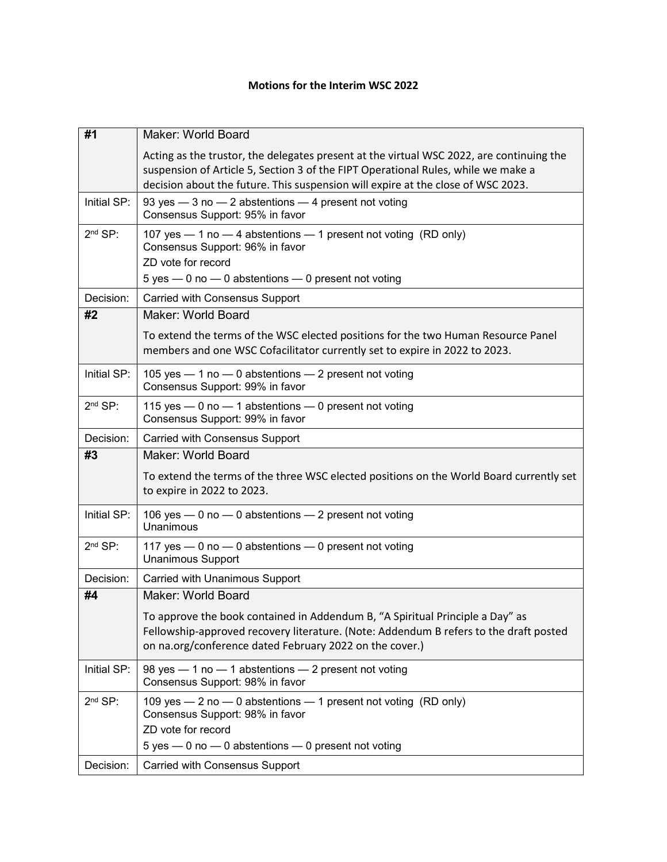## **Motions for the Interim WSC 2022**

| #1          | Maker: World Board                                                                                                                                                                                                                |
|-------------|-----------------------------------------------------------------------------------------------------------------------------------------------------------------------------------------------------------------------------------|
|             | Acting as the trustor, the delegates present at the virtual WSC 2022, are continuing the                                                                                                                                          |
|             | suspension of Article 5, Section 3 of the FIPT Operational Rules, while we make a<br>decision about the future. This suspension will expire at the close of WSC 2023.                                                             |
| Initial SP: | 93 yes - 3 no - 2 abstentions - 4 present not voting<br>Consensus Support: 95% in favor                                                                                                                                           |
| $2nd$ SP:   | 107 yes - 1 no - 4 abstentions - 1 present not voting (RD only)<br>Consensus Support: 96% in favor                                                                                                                                |
|             | ZD vote for record                                                                                                                                                                                                                |
|             | $5$ yes $-0$ no $-0$ abstentions $-0$ present not voting                                                                                                                                                                          |
| Decision:   | <b>Carried with Consensus Support</b>                                                                                                                                                                                             |
| #2          | Maker: World Board                                                                                                                                                                                                                |
|             | To extend the terms of the WSC elected positions for the two Human Resource Panel<br>members and one WSC Cofacilitator currently set to expire in 2022 to 2023.                                                                   |
| Initial SP: | 105 yes - 1 no - 0 abstentions - 2 present not voting<br>Consensus Support: 99% in favor                                                                                                                                          |
| $2nd$ SP:   | 115 yes - 0 no - 1 abstentions - 0 present not voting<br>Consensus Support: 99% in favor                                                                                                                                          |
| Decision:   | <b>Carried with Consensus Support</b>                                                                                                                                                                                             |
| #3          | <b>Maker: World Board</b>                                                                                                                                                                                                         |
|             |                                                                                                                                                                                                                                   |
|             | To extend the terms of the three WSC elected positions on the World Board currently set<br>to expire in 2022 to 2023.                                                                                                             |
| Initial SP: | 106 yes - 0 no - 0 abstentions - 2 present not voting<br>Unanimous                                                                                                                                                                |
| $2nd$ SP:   | 117 yes - 0 no - 0 abstentions - 0 present not voting<br><b>Unanimous Support</b>                                                                                                                                                 |
| Decision:   | Carried with Unanimous Support                                                                                                                                                                                                    |
| #4          | <b>Maker: World Board</b>                                                                                                                                                                                                         |
|             | To approve the book contained in Addendum B, "A Spiritual Principle a Day" as<br>Fellowship-approved recovery literature. (Note: Addendum B refers to the draft posted<br>on na.org/conference dated February 2022 on the cover.) |
| Initial SP: | 98 yes - 1 no - 1 abstentions - 2 present not voting<br>Consensus Support: 98% in favor                                                                                                                                           |
| $2nd$ SP:   | 109 yes - 2 no - 0 abstentions - 1 present not voting (RD only)<br>Consensus Support: 98% in favor                                                                                                                                |
|             | ZD vote for record                                                                                                                                                                                                                |
| Decision:   | $5$ yes $-0$ no $-0$ abstentions $-0$ present not voting<br><b>Carried with Consensus Support</b>                                                                                                                                 |